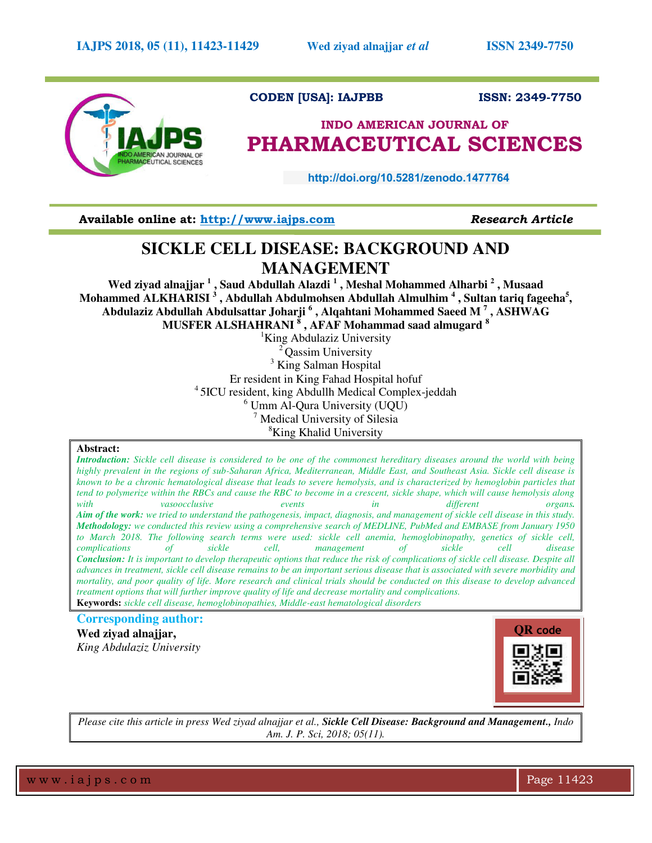

# **CODEN [USA]: IAJPBB ISSN: 2349-7750**

# **INDO AMERICAN JOURNAL OF PHARMACEUTICAL SCIENCES**

 **http://doi.org/10.5281/zenodo.1477764** 

**Available online at: [http://www.iajps.com](http://www.iajps.com/)** *Research Article*

# **SICKLE CELL DISEASE: BACKGROUND AND MANAGEMENT**

**Wed ziyad alnajjar <sup>1</sup> , Saud Abdullah Alazdi <sup>1</sup> , Meshal Mohammed Alharbi <sup>2</sup> , Musaad Mohammed ALKHARISI <sup>3</sup> , Abdullah Abdulmohsen Abdullah Almulhim <sup>4</sup> , Sultan tariq fageeha<sup>5</sup> , Abdulaziz Abdullah Abdulsattar Joharji <sup>6</sup> , Alqahtani Mohammed Saeed M <sup>7</sup> , ASHWAG MUSFER ALSHAHRANI <sup>8</sup> , AFAF Mohammad saad almugard <sup>8</sup>**

<sup>1</sup>King Abdulaziz University Qassim University <sup>3</sup> King Salman Hospital Er resident in King Fahad Hospital hofuf <sup>4</sup>5ICU resident, king Abdullh Medical Complex-jeddah 6 Umm Al-Qura University (UQU) 7 Medical University of Silesia <sup>8</sup>King Khalid University

#### **Abstract:**

*Introduction: Sickle cell disease is considered to be one of the commonest hereditary diseases around the world with being highly prevalent in the regions of sub-Saharan Africa, Mediterranean, Middle East, and Southeast Asia. Sickle cell disease is known to be a chronic hematological disease that leads to severe hemolysis, and is characterized by hemoglobin particles that tend to polymerize within the RBCs and cause the RBC to become in a crescent, sickle shape, which will cause hemolysis along with vasoocclusive events in different organs. Aim of the work: we tried to understand the pathogenesis, impact, diagnosis, and management of sickle cell disease in this study. Methodology: we conducted this review using a comprehensive search of MEDLINE, PubMed and EMBASE from January 1950 to March 2018. The following search terms were used: sickle cell anemia, hemoglobinopathy, genetics of sickle cell, complications of sickle cell, management of sickle cell disease Conclusion: It is important to develop therapeutic options that reduce the risk of complications of sickle cell disease. Despite all advances in treatment, sickle cell disease remains to be an important serious disease that is associated with severe morbidity and mortality, and poor quality of life. More research and clinical trials should be conducted on this disease to develop advanced treatment options that will further improve quality of life and decrease mortality and complications.*  **Keywords:** *sickle cell disease, hemoglobinopathies, Middle-east hematological disorders* 

# **Corresponding author:**

**Wed ziyad alnajjar,** *King Abdulaziz University*



*Please cite this article in press Wed ziyad alnajjar et al., Sickle Cell Disease: Background and Management., Indo Am. J. P. Sci, 2018; 05(11).*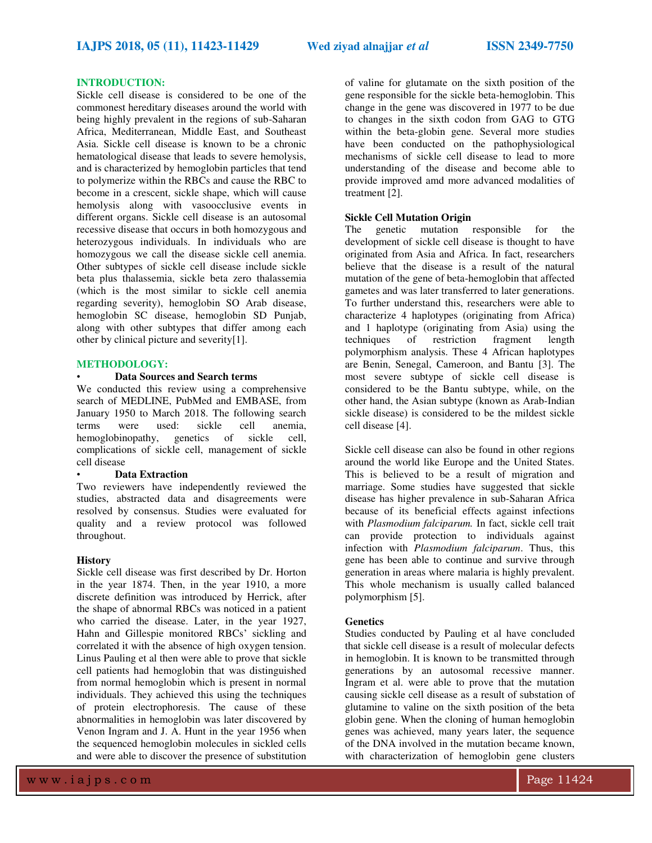## **INTRODUCTION:**

Sickle cell disease is considered to be one of the commonest hereditary diseases around the world with being highly prevalent in the regions of sub-Saharan Africa, Mediterranean, Middle East, and Southeast Asia. Sickle cell disease is known to be a chronic hematological disease that leads to severe hemolysis, and is characterized by hemoglobin particles that tend to polymerize within the RBCs and cause the RBC to become in a crescent, sickle shape, which will cause hemolysis along with vasoocclusive events in different organs. Sickle cell disease is an autosomal recessive disease that occurs in both homozygous and heterozygous individuals. In individuals who are homozygous we call the disease sickle cell anemia. Other subtypes of sickle cell disease include sickle beta plus thalassemia, sickle beta zero thalassemia (which is the most similar to sickle cell anemia regarding severity), hemoglobin SO Arab disease, hemoglobin SC disease, hemoglobin SD Punjab, along with other subtypes that differ among each other by clinical picture and severity[1].

# **METHODOLOGY:**

# • **Data Sources and Search terms**

We conducted this review using a comprehensive search of MEDLINE, PubMed and EMBASE, from January 1950 to March 2018. The following search terms were used: sickle cell anemia, hemoglobinopathy, genetics of sickle cell, complications of sickle cell, management of sickle cell disease

#### • **Data Extraction**

Two reviewers have independently reviewed the studies, abstracted data and disagreements were resolved by consensus. Studies were evaluated for quality and a review protocol was followed throughout.

#### **History**

Sickle cell disease was first described by Dr. Horton in the year 1874. Then, in the year 1910, a more discrete definition was introduced by Herrick, after the shape of abnormal RBCs was noticed in a patient who carried the disease. Later, in the year 1927, Hahn and Gillespie monitored RBCs' sickling and correlated it with the absence of high oxygen tension. Linus Pauling et al then were able to prove that sickle cell patients had hemoglobin that was distinguished from normal hemoglobin which is present in normal individuals. They achieved this using the techniques of protein electrophoresis. The cause of these abnormalities in hemoglobin was later discovered by Venon Ingram and J. A. Hunt in the year 1956 when the sequenced hemoglobin molecules in sickled cells and were able to discover the presence of substitution of valine for glutamate on the sixth position of the gene responsible for the sickle beta-hemoglobin. This change in the gene was discovered in 1977 to be due to changes in the sixth codon from GAG to GTG within the beta-globin gene. Several more studies have been conducted on the pathophysiological mechanisms of sickle cell disease to lead to more understanding of the disease and become able to provide improved amd more advanced modalities of treatment [2].

### **Sickle Cell Mutation Origin**

The genetic mutation responsible for the development of sickle cell disease is thought to have originated from Asia and Africa. In fact, researchers believe that the disease is a result of the natural mutation of the gene of beta-hemoglobin that affected gametes and was later transferred to later generations. To further understand this, researchers were able to characterize 4 haplotypes (originating from Africa) and 1 haplotype (originating from Asia) using the techniques of restriction fragment length polymorphism analysis. These 4 African haplotypes are Benin, Senegal, Cameroon, and Bantu [3]. The most severe subtype of sickle cell disease is considered to be the Bantu subtype, while, on the other hand, the Asian subtype (known as Arab-Indian sickle disease) is considered to be the mildest sickle cell disease [4].

Sickle cell disease can also be found in other regions around the world like Europe and the United States. This is believed to be a result of migration and marriage. Some studies have suggested that sickle disease has higher prevalence in sub-Saharan Africa because of its beneficial effects against infections with *Plasmodium falciparum.* In fact, sickle cell trait can provide protection to individuals against infection with *Plasmodium falciparum*. Thus, this gene has been able to continue and survive through generation in areas where malaria is highly prevalent. This whole mechanism is usually called balanced polymorphism [5].

#### **Genetics**

Studies conducted by Pauling et al have concluded that sickle cell disease is a result of molecular defects in hemoglobin. It is known to be transmitted through generations by an autosomal recessive manner. Ingram et al. were able to prove that the mutation causing sickle cell disease as a result of substation of glutamine to valine on the sixth position of the beta globin gene. When the cloning of human hemoglobin genes was achieved, many years later, the sequence of the DNA involved in the mutation became known, with characterization of hemoglobin gene clusters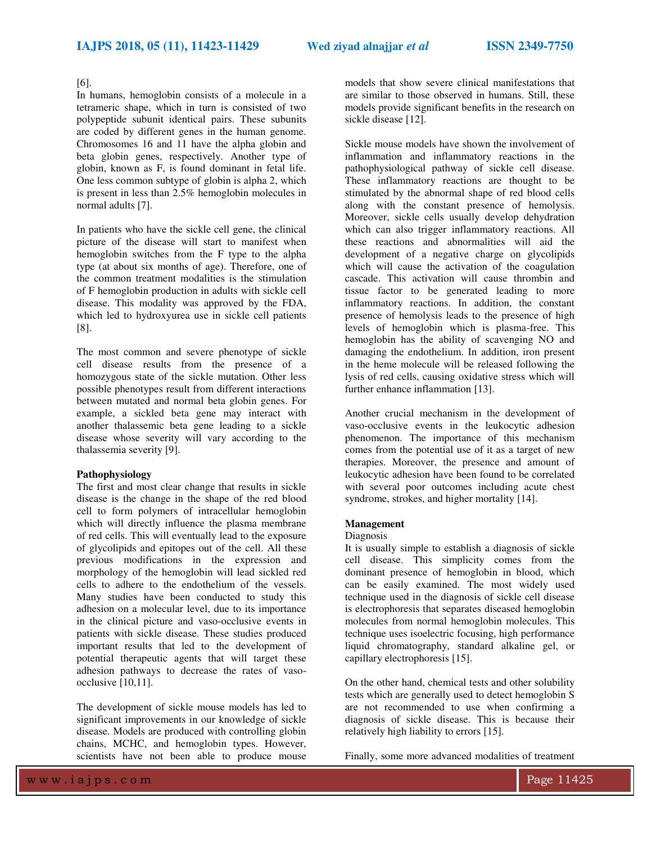# [6].

In humans, hemoglobin consists of a molecule in a tetrameric shape, which in turn is consisted of two polypeptide subunit identical pairs. These subunits are coded by different genes in the human genome. Chromosomes 16 and 11 have the alpha globin and beta globin genes, respectively. Another type of globin, known as F, is found dominant in fetal life. One less common subtype of globin is alpha 2, which is present in less than 2.5% hemoglobin molecules in normal adults [7].

In patients who have the sickle cell gene, the clinical picture of the disease will start to manifest when hemoglobin switches from the F type to the alpha type (at about six months of age). Therefore, one of the common treatment modalities is the stimulation of F hemoglobin production in adults with sickle cell disease. This modality was approved by the FDA, which led to hydroxyurea use in sickle cell patients [8].

The most common and severe phenotype of sickle cell disease results from the presence of a homozygous state of the sickle mutation. Other less possible phenotypes result from different interactions between mutated and normal beta globin genes. For example, a sickled beta gene may interact with another thalassemic beta gene leading to a sickle disease whose severity will vary according to the thalassemia severity [9].

# **Pathophysiology**

The first and most clear change that results in sickle disease is the change in the shape of the red blood cell to form polymers of intracellular hemoglobin which will directly influence the plasma membrane of red cells. This will eventually lead to the exposure of glycolipids and epitopes out of the cell. All these previous modifications in the expression and morphology of the hemoglobin will lead sickled red cells to adhere to the endothelium of the vessels. Many studies have been conducted to study this adhesion on a molecular level, due to its importance in the clinical picture and vaso-occlusive events in patients with sickle disease. These studies produced important results that led to the development of potential therapeutic agents that will target these adhesion pathways to decrease the rates of vasoocclusive [10,11].

The development of sickle mouse models has led to significant improvements in our knowledge of sickle disease. Models are produced with controlling globin chains, MCHC, and hemoglobin types. However, scientists have not been able to produce mouse models that show severe clinical manifestations that are similar to those observed in humans. Still, these models provide significant benefits in the research on sickle disease [12].

Sickle mouse models have shown the involvement of inflammation and inflammatory reactions in the pathophysiological pathway of sickle cell disease. These inflammatory reactions are thought to be stimulated by the abnormal shape of red blood cells along with the constant presence of hemolysis. Moreover, sickle cells usually develop dehydration which can also trigger inflammatory reactions. All these reactions and abnormalities will aid the development of a negative charge on glycolipids which will cause the activation of the coagulation cascade. This activation will cause thrombin and tissue factor to be generated leading to more inflammatory reactions. In addition, the constant presence of hemolysis leads to the presence of high levels of hemoglobin which is plasma-free. This hemoglobin has the ability of scavenging NO and damaging the endothelium. In addition, iron present in the heme molecule will be released following the lysis of red cells, causing oxidative stress which will further enhance inflammation [13].

Another crucial mechanism in the development of vaso-occlusive events in the leukocytic adhesion phenomenon. The importance of this mechanism comes from the potential use of it as a target of new therapies. Moreover, the presence and amount of leukocytic adhesion have been found to be correlated with several poor outcomes including acute chest syndrome, strokes, and higher mortality [14].

#### **Management**

#### Diagnosis

It is usually simple to establish a diagnosis of sickle cell disease. This simplicity comes from the dominant presence of hemoglobin in blood, which can be easily examined. The most widely used technique used in the diagnosis of sickle cell disease is electrophoresis that separates diseased hemoglobin molecules from normal hemoglobin molecules. This technique uses isoelectric focusing, high performance liquid chromatography, standard alkaline gel, or capillary electrophoresis [15].

On the other hand, chemical tests and other solubility tests which are generally used to detect hemoglobin S are not recommended to use when confirming a diagnosis of sickle disease. This is because their relatively high liability to errors [15].

Finally, some more advanced modalities of treatment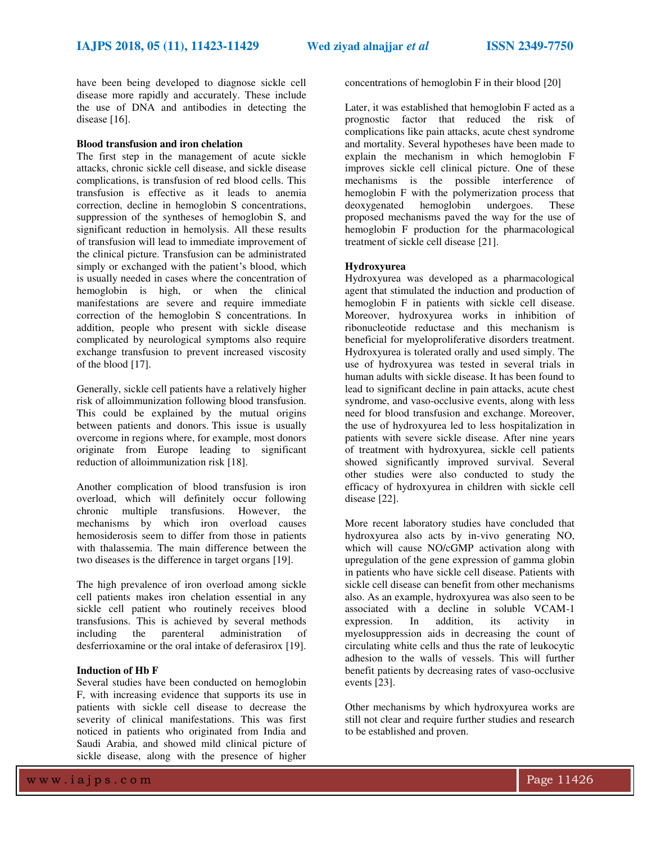have been being developed to diagnose sickle cell disease more rapidly and accurately. These include the use of DNA and antibodies in detecting the disease [16].

#### **Blood transfusion and iron chelation**

The first step in the management of acute sickle attacks, chronic sickle cell disease, and sickle disease complications, is transfusion of red blood cells. This transfusion is effective as it leads to anemia correction, decline in hemoglobin S concentrations, suppression of the syntheses of hemoglobin S, and significant reduction in hemolysis. All these results of transfusion will lead to immediate improvement of the clinical picture. Transfusion can be administrated simply or exchanged with the patient's blood, which is usually needed in cases where the concentration of hemoglobin is high, or when the clinical manifestations are severe and require immediate correction of the hemoglobin S concentrations. In addition, people who present with sickle disease complicated by neurological symptoms also require exchange transfusion to prevent increased viscosity of the blood [17].

Generally, sickle cell patients have a relatively higher risk of alloimmunization following blood transfusion. This could be explained by the mutual origins between patients and donors. This issue is usually overcome in regions where, for example, most donors originate from Europe leading to significant reduction of alloimmunization risk [18].

Another complication of blood transfusion is iron overload, which will definitely occur following chronic multiple transfusions. However, the mechanisms by which iron overload causes hemosiderosis seem to differ from those in patients with thalassemia. The main difference between the two diseases is the difference in target organs [19].

The high prevalence of iron overload among sickle cell patients makes iron chelation essential in any sickle cell patient who routinely receives blood transfusions. This is achieved by several methods including the parenteral administration of desferrioxamine or the oral intake of deferasirox [19].

## **Induction of Hb F**

Several studies have been conducted on hemoglobin F, with increasing evidence that supports its use in patients with sickle cell disease to decrease the severity of clinical manifestations. This was first noticed in patients who originated from India and Saudi Arabia, and showed mild clinical picture of sickle disease, along with the presence of higher

concentrations of hemoglobin F in their blood [20]

Later, it was established that hemoglobin F acted as a prognostic factor that reduced the risk of complications like pain attacks, acute chest syndrome and mortality. Several hypotheses have been made to explain the mechanism in which hemoglobin F improves sickle cell clinical picture. One of these mechanisms is the possible interference of hemoglobin F with the polymerization process that deoxygenated hemoglobin undergoes. These deoxygenated hemoglobin undergoes. These proposed mechanisms paved the way for the use of hemoglobin F production for the pharmacological treatment of sickle cell disease [21].

#### **Hydroxyurea**

Hydroxyurea was developed as a pharmacological agent that stimulated the induction and production of hemoglobin F in patients with sickle cell disease. Moreover, hydroxyurea works in inhibition of ribonucleotide reductase and this mechanism is beneficial for myeloproliferative disorders treatment. Hydroxyurea is tolerated orally and used simply. The use of hydroxyurea was tested in several trials in human adults with sickle disease. It has been found to lead to significant decline in pain attacks, acute chest syndrome, and vaso-occlusive events, along with less need for blood transfusion and exchange. Moreover, the use of hydroxyurea led to less hospitalization in patients with severe sickle disease. After nine years of treatment with hydroxyurea, sickle cell patients showed significantly improved survival. Several other studies were also conducted to study the efficacy of hydroxyurea in children with sickle cell disease [22].

More recent laboratory studies have concluded that hydroxyurea also acts by in-vivo generating NO, which will cause NO/cGMP activation along with upregulation of the gene expression of gamma globin in patients who have sickle cell disease. Patients with sickle cell disease can benefit from other mechanisms also. As an example, hydroxyurea was also seen to be associated with a decline in soluble VCAM-1 expression. In addition, its activity in myelosuppression aids in decreasing the count of circulating white cells and thus the rate of leukocytic adhesion to the walls of vessels. This will further benefit patients by decreasing rates of vaso-occlusive events [23].

Other mechanisms by which hydroxyurea works are still not clear and require further studies and research to be established and proven.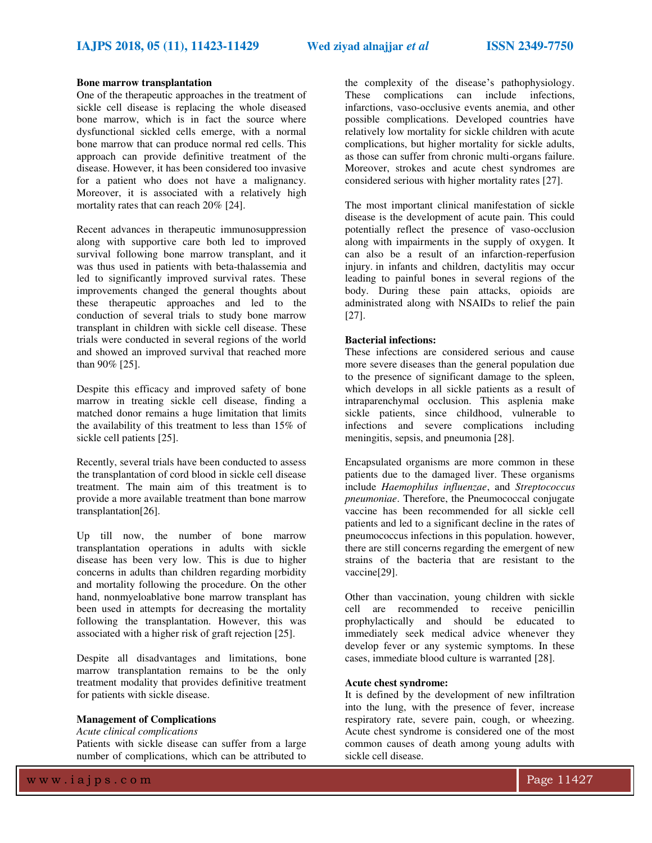## **Bone marrow transplantation**

One of the therapeutic approaches in the treatment of sickle cell disease is replacing the whole diseased bone marrow, which is in fact the source where dysfunctional sickled cells emerge, with a normal bone marrow that can produce normal red cells. This approach can provide definitive treatment of the disease. However, it has been considered too invasive for a patient who does not have a malignancy. Moreover, it is associated with a relatively high mortality rates that can reach 20% [24].

Recent advances in therapeutic immunosuppression along with supportive care both led to improved survival following bone marrow transplant, and it was thus used in patients with beta-thalassemia and led to significantly improved survival rates. These improvements changed the general thoughts about these therapeutic approaches and led to the conduction of several trials to study bone marrow transplant in children with sickle cell disease. These trials were conducted in several regions of the world and showed an improved survival that reached more than 90% [25].

Despite this efficacy and improved safety of bone marrow in treating sickle cell disease, finding a matched donor remains a huge limitation that limits the availability of this treatment to less than 15% of sickle cell patients [25].

Recently, several trials have been conducted to assess the transplantation of cord blood in sickle cell disease treatment. The main aim of this treatment is to provide a more available treatment than bone marrow transplantation[26].

Up till now, the number of bone marrow transplantation operations in adults with sickle disease has been very low. This is due to higher concerns in adults than children regarding morbidity and mortality following the procedure. On the other hand, nonmyeloablative bone marrow transplant has been used in attempts for decreasing the mortality following the transplantation. However, this was associated with a higher risk of graft rejection [25].

Despite all disadvantages and limitations, bone marrow transplantation remains to be the only treatment modality that provides definitive treatment for patients with sickle disease.

## **Management of Complications**

*Acute clinical complications* 

Patients with sickle disease can suffer from a large number of complications, which can be attributed to

the complexity of the disease's pathophysiology. These complications can include infections, infarctions, vaso-occlusive events anemia, and other possible complications. Developed countries have relatively low mortality for sickle children with acute complications, but higher mortality for sickle adults, as those can suffer from chronic multi-organs failure. Moreover, strokes and acute chest syndromes are considered serious with higher mortality rates [27].

The most important clinical manifestation of sickle disease is the development of acute pain. This could potentially reflect the presence of vaso-occlusion along with impairments in the supply of oxygen. It can also be a result of an infarction-reperfusion injury. in infants and children, dactylitis may occur leading to painful bones in several regions of the body. During these pain attacks, opioids are administrated along with NSAIDs to relief the pain [27].

## **Bacterial infections:**

These infections are considered serious and cause more severe diseases than the general population due to the presence of significant damage to the spleen, which develops in all sickle patients as a result of intraparenchymal occlusion. This asplenia make sickle patients, since childhood, vulnerable to infections and severe complications including meningitis, sepsis, and pneumonia [28].

Encapsulated organisms are more common in these patients due to the damaged liver. These organisms include *Haemophilus influenzae*, and *Streptococcus pneumoniae*. Therefore, the Pneumococcal conjugate vaccine has been recommended for all sickle cell patients and led to a significant decline in the rates of pneumococcus infections in this population. however, there are still concerns regarding the emergent of new strains of the bacteria that are resistant to the vaccine[29].

Other than vaccination, young children with sickle cell are recommended to receive penicillin prophylactically and should be educated to immediately seek medical advice whenever they develop fever or any systemic symptoms. In these cases, immediate blood culture is warranted [28].

#### **Acute chest syndrome:**

It is defined by the development of new infiltration into the lung, with the presence of fever, increase respiratory rate, severe pain, cough, or wheezing. Acute chest syndrome is considered one of the most common causes of death among young adults with sickle cell disease.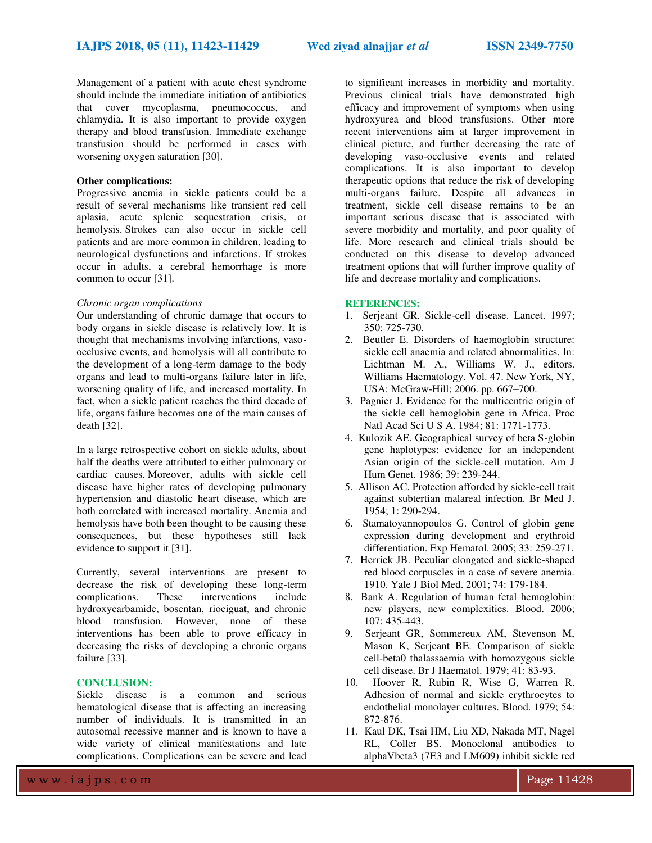Management of a patient with acute chest syndrome should include the immediate initiation of antibiotics that cover mycoplasma, pneumococcus, and chlamydia. It is also important to provide oxygen therapy and blood transfusion. Immediate exchange transfusion should be performed in cases with worsening oxygen saturation [30].

#### **Other complications:**

Progressive anemia in sickle patients could be a result of several mechanisms like transient red cell aplasia, acute splenic sequestration crisis, or hemolysis. Strokes can also occur in sickle cell patients and are more common in children, leading to neurological dysfunctions and infarctions. If strokes occur in adults, a cerebral hemorrhage is more common to occur [31].

#### *Chronic organ complications*

Our understanding of chronic damage that occurs to body organs in sickle disease is relatively low. It is thought that mechanisms involving infarctions, vasoocclusive events, and hemolysis will all contribute to the development of a long-term damage to the body organs and lead to multi-organs failure later in life, worsening quality of life, and increased mortality. In fact, when a sickle patient reaches the third decade of life, organs failure becomes one of the main causes of death [32].

In a large retrospective cohort on sickle adults, about half the deaths were attributed to either pulmonary or cardiac causes. Moreover, adults with sickle cell disease have higher rates of developing pulmonary hypertension and diastolic heart disease, which are both correlated with increased mortality. Anemia and hemolysis have both been thought to be causing these consequences, but these hypotheses still lack evidence to support it [31].

Currently, several interventions are present to decrease the risk of developing these long-term complications. These interventions include hydroxycarbamide, bosentan, riociguat, and chronic blood transfusion. However, none of these interventions has been able to prove efficacy in decreasing the risks of developing a chronic organs failure [33].

#### **CONCLUSION:**

Sickle disease is a common and serious hematological disease that is affecting an increasing number of individuals. It is transmitted in an autosomal recessive manner and is known to have a wide variety of clinical manifestations and late complications. Complications can be severe and lead

w w w .iaips.com  $\blacksquare$ 

to significant increases in morbidity and mortality. Previous clinical trials have demonstrated high efficacy and improvement of symptoms when using hydroxyurea and blood transfusions. Other more recent interventions aim at larger improvement in clinical picture, and further decreasing the rate of developing vaso-occlusive events and related complications. It is also important to develop therapeutic options that reduce the risk of developing multi-organs failure. Despite all advances in treatment, sickle cell disease remains to be an important serious disease that is associated with severe morbidity and mortality, and poor quality of life. More research and clinical trials should be conducted on this disease to develop advanced treatment options that will further improve quality of life and decrease mortality and complications.

#### **REFERENCES:**

- 1. Serjeant GR. Sickle-cell disease. Lancet. 1997; 350: 725-730.
- 2. Beutler E. Disorders of haemoglobin structure: sickle cell anaemia and related abnormalities. In: Lichtman M. A., Williams W. J., editors. Williams Haematology. Vol. 47. New York, NY, USA: McGraw-Hill; 2006. pp. 667–700.
- 3. Pagnier J. Evidence for the multicentric origin of the sickle cell hemoglobin gene in Africa. Proc Natl Acad Sci U S A. 1984; 81: 1771-1773.
- 4. Kulozik AE. Geographical survey of beta S-globin gene haplotypes: evidence for an independent Asian origin of the sickle-cell mutation. Am J Hum Genet. 1986; 39: 239-244.
- 5. Allison AC. Protection afforded by sickle-cell trait against subtertian malareal infection. Br Med J. 1954; 1: 290-294.
- 6. Stamatoyannopoulos G. Control of globin gene expression during development and erythroid differentiation. Exp Hematol. 2005; 33: 259-271.
- 7. Herrick JB. Peculiar elongated and sickle-shaped red blood corpuscles in a case of severe anemia. 1910. Yale J Biol Med. 2001; 74: 179-184.
- 8. Bank A. Regulation of human fetal hemoglobin: new players, new complexities. Blood. 2006; 107: 435-443.
- 9. Serjeant GR, Sommereux AM, Stevenson M, Mason K, Serjeant BE. Comparison of sickle cell-beta0 thalassaemia with homozygous sickle cell disease. Br J Haematol. 1979; 41: 83-93.
- 10. Hoover R, Rubin R, Wise G, Warren R. Adhesion of normal and sickle erythrocytes to endothelial monolayer cultures. Blood. 1979; 54: 872-876.
- 11. Kaul DK, Tsai HM, Liu XD, Nakada MT, Nagel RL, Coller BS. Monoclonal antibodies to alphaVbeta3 (7E3 and LM609) inhibit sickle red